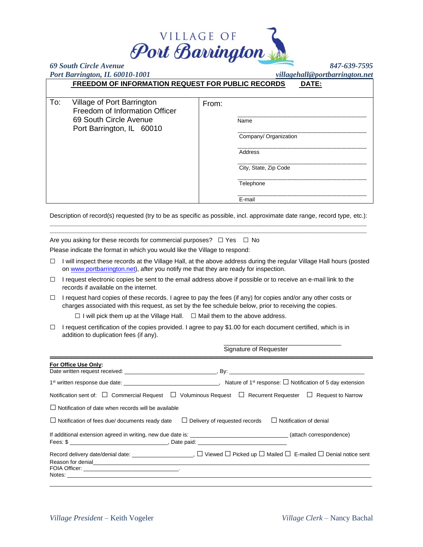

| Port Barrington, IL 60010-1001 |                                                          |       |                       | villagehall@portbarrington.net |  |
|--------------------------------|----------------------------------------------------------|-------|-----------------------|--------------------------------|--|
|                                | <b>FREEDOM OF INFORMATION REQUEST FOR PUBLIC RECORDS</b> |       |                       | DATE:                          |  |
|                                |                                                          |       |                       |                                |  |
| To:                            | Village of Port Barrington                               | From: |                       |                                |  |
|                                | Freedom of Information Officer                           |       |                       |                                |  |
|                                | 69 South Circle Avenue                                   |       | Name                  |                                |  |
|                                | Port Barrington, IL 60010                                |       |                       |                                |  |
|                                |                                                          |       | Company/ Organization |                                |  |
|                                |                                                          |       | Address               |                                |  |
|                                |                                                          |       | City, State, Zip Code |                                |  |
|                                |                                                          |       | Telephone             |                                |  |
|                                |                                                          |       | E-mail                |                                |  |

Description of record(s) requested (try to be as specific as possible, incl. approximate date range, record type, etc.):  $\mathcal{L}_\text{max}$ 

Are you asking for these records for commercial purposes?  $\Box$  Yes  $\Box$  No Please indicate the format in which you would like the Village to respond:

- □ I will inspect these records at the Village Hall, at the above address during the regular Village Hall hours (posted o[n www.portbarrington.net\)](http://www.portbarrington.net/), after you notify me that they are ready for inspection.
- □ I request electronic copies be sent to the email address above if possible or to receive an e-mail link to the records if available on the internet.
- □ I request hard copies of these records. I agree to pay the fees (if any) for copies and/or any other costs or charges associated with this request, as set by the fee schedule below, prior to receiving the copies.

 $\Box$  I will pick them up at the Village Hall.  $\Box$  Mail them to the above address.

 $\Box$  I request certification of the copies provided. I agree to pay \$1.00 for each document certified, which is in addition to duplication fees (if any).

| For Office Use Only:                                                                                                          |
|-------------------------------------------------------------------------------------------------------------------------------|
|                                                                                                                               |
| Notification sent of: $\Box$ Commercial Request $\Box$ Voluminous Request $\Box$ Recurrent Requester $\Box$ Request to Narrow |
| $\Box$ Notification of date when records will be available                                                                    |
| $\Box$ Notification of fees due/ documents ready date $\Box$ Delivery of requested records<br>$\Box$ Notification of denial   |
| Fees: \$                                                                                                                      |
| Reason for denial experimental and the second contract of the second contract of the second contract of the second            |
|                                                                                                                               |

\_\_\_\_\_\_\_\_\_\_\_\_\_\_\_\_\_\_\_\_\_\_\_\_\_\_\_\_\_\_\_\_\_\_

Signature of Requester